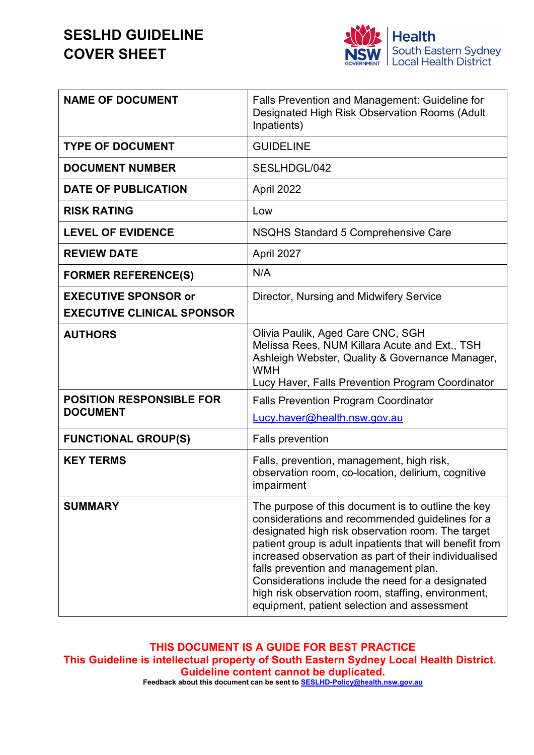# **SESLHD GUIDELINE COVER SHEET**



| <b>NAME OF DOCUMENT</b>                            | <b>Falls Prevention and Management: Guideline for</b><br>Designated High Risk Observation Rooms (Adult<br>Inpatients)                                                                                                                                                                                                                                                                                                                                                             |  |
|----------------------------------------------------|-----------------------------------------------------------------------------------------------------------------------------------------------------------------------------------------------------------------------------------------------------------------------------------------------------------------------------------------------------------------------------------------------------------------------------------------------------------------------------------|--|
| <b>TYPE OF DOCUMENT</b>                            | <b>GUIDELINE</b>                                                                                                                                                                                                                                                                                                                                                                                                                                                                  |  |
| <b>DOCUMENT NUMBER</b>                             | SESLHDGL/042                                                                                                                                                                                                                                                                                                                                                                                                                                                                      |  |
| <b>DATE OF PUBLICATION</b>                         | April 2022                                                                                                                                                                                                                                                                                                                                                                                                                                                                        |  |
| <b>RISK RATING</b>                                 | Low                                                                                                                                                                                                                                                                                                                                                                                                                                                                               |  |
| <b>LEVEL OF EVIDENCE</b>                           | NSQHS Standard 5 Comprehensive Care                                                                                                                                                                                                                                                                                                                                                                                                                                               |  |
| <b>REVIEW DATE</b>                                 | April 2027                                                                                                                                                                                                                                                                                                                                                                                                                                                                        |  |
| <b>FORMER REFERENCE(S)</b>                         | N/A                                                                                                                                                                                                                                                                                                                                                                                                                                                                               |  |
| <b>EXECUTIVE SPONSOR or</b>                        | Director, Nursing and Midwifery Service                                                                                                                                                                                                                                                                                                                                                                                                                                           |  |
| <b>EXECUTIVE CLINICAL SPONSOR</b>                  |                                                                                                                                                                                                                                                                                                                                                                                                                                                                                   |  |
| <b>AUTHORS</b>                                     | Olivia Paulik, Aged Care CNC, SGH<br>Melissa Rees, NUM Killara Acute and Ext., TSH<br>Ashleigh Webster, Quality & Governance Manager,<br><b>WMH</b>                                                                                                                                                                                                                                                                                                                               |  |
|                                                    | Lucy Haver, Falls Prevention Program Coordinator                                                                                                                                                                                                                                                                                                                                                                                                                                  |  |
| <b>POSITION RESPONSIBLE FOR</b><br><b>DOCUMENT</b> | <b>Falls Prevention Program Coordinator</b>                                                                                                                                                                                                                                                                                                                                                                                                                                       |  |
|                                                    | Lucy.haver@health.nsw.gov.au                                                                                                                                                                                                                                                                                                                                                                                                                                                      |  |
| <b>FUNCTIONAL GROUP(S)</b>                         | <b>Falls prevention</b>                                                                                                                                                                                                                                                                                                                                                                                                                                                           |  |
| <b>KEY TERMS</b>                                   | Falls, prevention, management, high risk,<br>observation room, co-location, delirium, cognitive<br>impairment                                                                                                                                                                                                                                                                                                                                                                     |  |
| <b>SUMMARY</b>                                     | The purpose of this document is to outline the key<br>considerations and recommended guidelines for a<br>designated high risk observation room. The target<br>patient group is adult inpatients that will benefit from<br>increased observation as part of their individualised<br>falls prevention and management plan.<br>Considerations include the need for a designated<br>high risk observation room, staffing, environment,<br>equipment, patient selection and assessment |  |

**THIS DOCUMENT IS A GUIDE FOR BEST PRACTICE This Guideline is intellectual property of South Eastern Sydney Local Health District. Guideline content cannot be duplicated.**

**Feedback about this document can be sent t[o SESLHD-Policy@health.nsw.gov.au](mailto:SESLHD-Policy@health.nsw.gov.au)**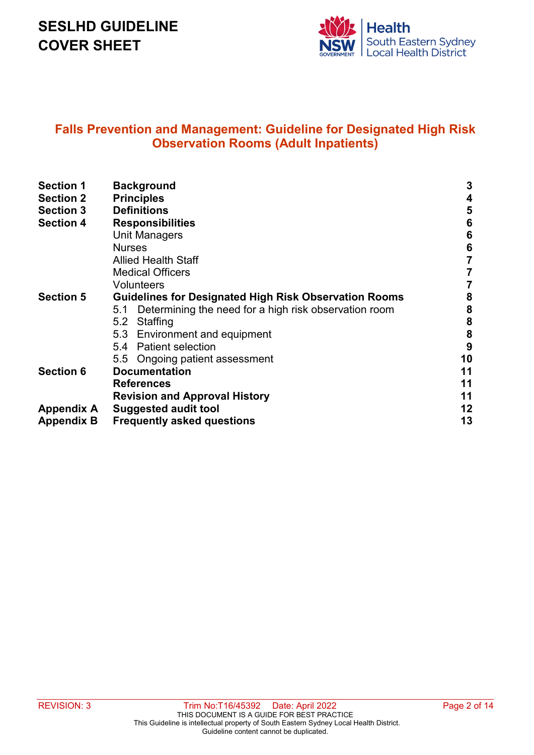# **SESLHD GUIDELINE COVER SHEET**



## **Falls Prevention and Management: Guideline for Designated High Risk Observation Rooms (Adult Inpatients)**

| <b>Section 1</b>  | <b>Background</b>                                            |          |  |  |
|-------------------|--------------------------------------------------------------|----------|--|--|
| <b>Section 2</b>  | <b>Principles</b>                                            | 4        |  |  |
| <b>Section 3</b>  | <b>Definitions</b>                                           | 5        |  |  |
| <b>Section 4</b>  | <b>Responsibilities</b>                                      |          |  |  |
|                   | <b>Unit Managers</b>                                         | 6<br>6   |  |  |
|                   | <b>Nurses</b>                                                | 6        |  |  |
|                   | <b>Allied Health Staff</b>                                   |          |  |  |
|                   | <b>Medical Officers</b>                                      |          |  |  |
|                   | <b>Volunteers</b>                                            |          |  |  |
| <b>Section 5</b>  | <b>Guidelines for Designated High Risk Observation Rooms</b> |          |  |  |
|                   | Determining the need for a high risk observation room<br>5.1 | 8<br>8   |  |  |
|                   | Staffing<br>5.2                                              | 8        |  |  |
|                   | 5.3 Environment and equipment                                | 8        |  |  |
|                   | <b>Patient selection</b><br>5.4                              | 9        |  |  |
|                   | 5.5 Ongoing patient assessment                               | 10       |  |  |
| <b>Section 6</b>  | <b>Documentation</b><br><b>References</b>                    |          |  |  |
|                   |                                                              |          |  |  |
|                   | <b>Revision and Approval History</b>                         |          |  |  |
| <b>Appendix A</b> | <b>Suggested audit tool</b>                                  | 11<br>12 |  |  |
| <b>Appendix B</b> | <b>Frequently asked questions</b>                            |          |  |  |
|                   |                                                              | 13       |  |  |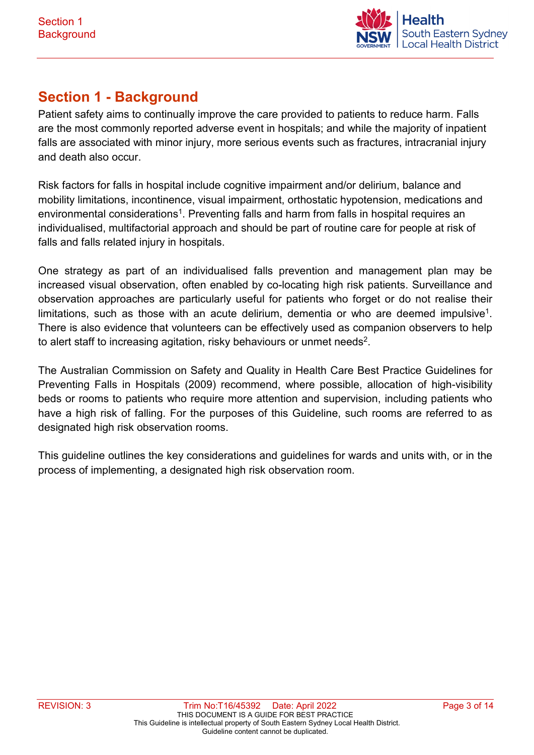

# **Section 1 - Background**

Patient safety aims to continually improve the care provided to patients to reduce harm. Falls are the most commonly reported adverse event in hospitals; and while the majority of inpatient falls are associated with minor injury, more serious events such as fractures, intracranial injury and death also occur.

Risk factors for falls in hospital include cognitive impairment and/or delirium, balance and mobility limitations, incontinence, visual impairment, orthostatic hypotension, medications and environmental considerations<sup>1</sup>. Preventing falls and harm from falls in hospital requires an individualised, multifactorial approach and should be part of routine care for people at risk of falls and falls related injury in hospitals.

One strategy as part of an individualised falls prevention and management plan may be increased visual observation, often enabled by co-locating high risk patients. Surveillance and observation approaches are particularly useful for patients who forget or do not realise their limitations, such as those with an acute delirium, dementia or who are deemed impulsive<sup>1</sup>. There is also evidence that volunteers can be effectively used as companion observers to help to alert staff to increasing agitation, risky behaviours or unmet needs<sup>2</sup>.

The Australian Commission on Safety and Quality in Health Care Best Practice Guidelines for Preventing Falls in Hospitals (2009) recommend, where possible, allocation of high-visibility beds or rooms to patients who require more attention and supervision, including patients who have a high risk of falling. For the purposes of this Guideline, such rooms are referred to as designated high risk observation rooms.

This guideline outlines the key considerations and guidelines for wards and units with, or in the process of implementing, a designated high risk observation room.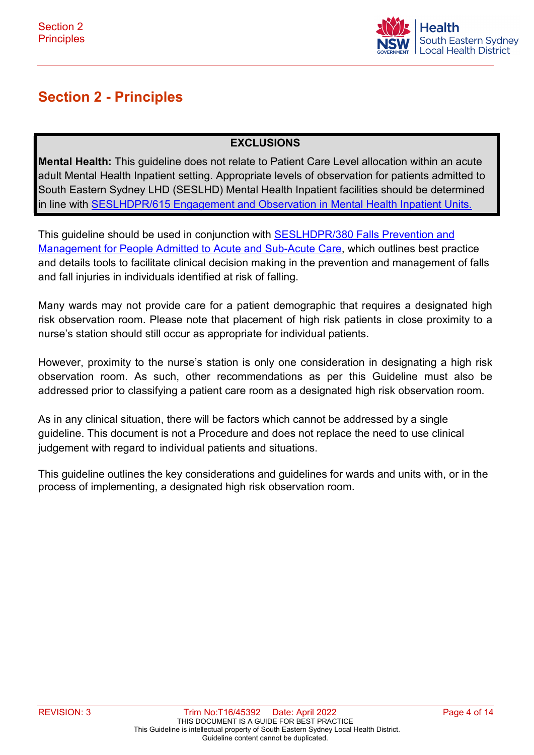

# **Section 2 - Principles**

## **EXCLUSIONS**

**Mental Health:** This guideline does not relate to Patient Care Level allocation within an acute adult Mental Health Inpatient setting. Appropriate levels of observation for patients admitted to South Eastern Sydney LHD (SESLHD) Mental Health Inpatient facilities should be determined in line with [SESLHDPR/615 Engagement and Observation in Mental Health Inpatient Units.](https://www.seslhd.health.nsw.gov.au/policies-and-publications/functional-group/89)

This guideline should be used in conjunction with [SESLHDPR/380 Falls Prevention and](https://www.seslhd.health.nsw.gov.au/policies-and-publications/functional-group/107)  [Management for People Admitted to Acute and Sub-Acute Care,](https://www.seslhd.health.nsw.gov.au/policies-and-publications/functional-group/107) which outlines best practice and details tools to facilitate clinical decision making in the prevention and management of falls and fall injuries in individuals identified at risk of falling.

Many wards may not provide care for a patient demographic that requires a designated high risk observation room. Please note that placement of high risk patients in close proximity to a nurse's station should still occur as appropriate for individual patients.

However, proximity to the nurse's station is only one consideration in designating a high risk observation room. As such, other recommendations as per this Guideline must also be addressed prior to classifying a patient care room as a designated high risk observation room.

As in any clinical situation, there will be factors which cannot be addressed by a single guideline. This document is not a Procedure and does not replace the need to use clinical judgement with regard to individual patients and situations.

This guideline outlines the key considerations and guidelines for wards and units with, or in the process of implementing, a designated high risk observation room.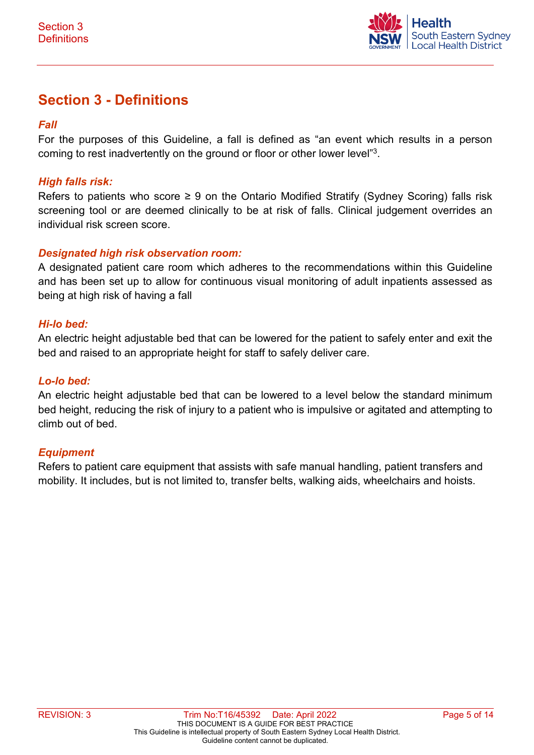

# **Section 3 - Definitions**

### *Fall*

For the purposes of this Guideline, a fall is defined as "an event which results in a person coming to rest inadvertently on the ground or floor or other lower level"3.

#### *High falls risk:*

Refers to patients who score  $\geq 9$  on the Ontario Modified Stratify (Sydney Scoring) falls risk screening tool or are deemed clinically to be at risk of falls. Clinical judgement overrides an individual risk screen score.

#### *Designated high risk observation room:*

A designated patient care room which adheres to the recommendations within this Guideline and has been set up to allow for continuous visual monitoring of adult inpatients assessed as being at high risk of having a fall

#### *Hi-lo bed:*

An electric height adjustable bed that can be lowered for the patient to safely enter and exit the bed and raised to an appropriate height for staff to safely deliver care.

#### *Lo-lo bed:*

An electric height adjustable bed that can be lowered to a level below the standard minimum bed height, reducing the risk of injury to a patient who is impulsive or agitated and attempting to climb out of bed.

#### *Equipment*

Refers to patient care equipment that assists with safe manual handling, patient transfers and mobility. It includes, but is not limited to, transfer belts, walking aids, wheelchairs and hoists.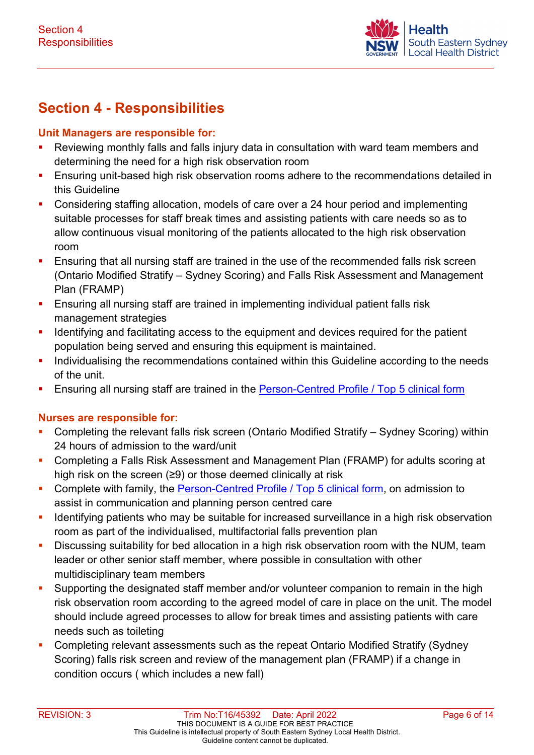

# **Section 4 - Responsibilities**

#### **Unit Managers are responsible for:**

- **Reviewing monthly falls and falls injury data in consultation with ward team members and** determining the need for a high risk observation room
- **Ensuring unit-based high risk observation rooms adhere to the recommendations detailed in** this Guideline
- Considering staffing allocation, models of care over a 24 hour period and implementing suitable processes for staff break times and assisting patients with care needs so as to allow continuous visual monitoring of the patients allocated to the high risk observation room
- **Ensuring that all nursing staff are trained in the use of the recommended falls risk screen** (Ontario Modified Stratify – Sydney Scoring) and Falls Risk Assessment and Management Plan (FRAMP)
- **Ensuring all nursing staff are trained in implementing individual patient falls risk** management strategies
- Identifying and facilitating access to the equipment and devices required for the patient population being served and ensuring this equipment is maintained.
- **Individualising the recommendations contained within this Guideline according to the needs** of the unit.
- **Ensuring all nursing staff are trained in the Person-Centred Profile / Top 5 clinical form**

### **Nurses are responsible for:**

- Completing the relevant falls risk screen (Ontario Modified Stratify Sydney Scoring) within 24 hours of admission to the ward/unit
- Completing a Falls Risk Assessment and Management Plan (FRAMP) for adults scoring at high risk on the screen (≥9) or those deemed clinically at risk
- **Complete with family, the [Person-Centred Profile / Top 5 clinical form,](http://sesinet/sites/Forms/Approved_Forms/0931_230816_Person-Centred%20Profile_d2.pdf#search=PATIENT%20CENTRED%20PROFILE) on admission to** assist in communication and planning person centred care
- **I** Identifying patients who may be suitable for increased surveillance in a high risk observation room as part of the individualised, multifactorial falls prevention plan
- **Discussing suitability for bed allocation in a high risk observation room with the NUM, team** leader or other senior staff member, where possible in consultation with other multidisciplinary team members
- **Supporting the designated staff member and/or volunteer companion to remain in the high** risk observation room according to the agreed model of care in place on the unit. The model should include agreed processes to allow for break times and assisting patients with care needs such as toileting
- Completing relevant assessments such as the repeat Ontario Modified Stratify (Sydney Scoring) falls risk screen and review of the management plan (FRAMP) if a change in condition occurs ( which includes a new fall)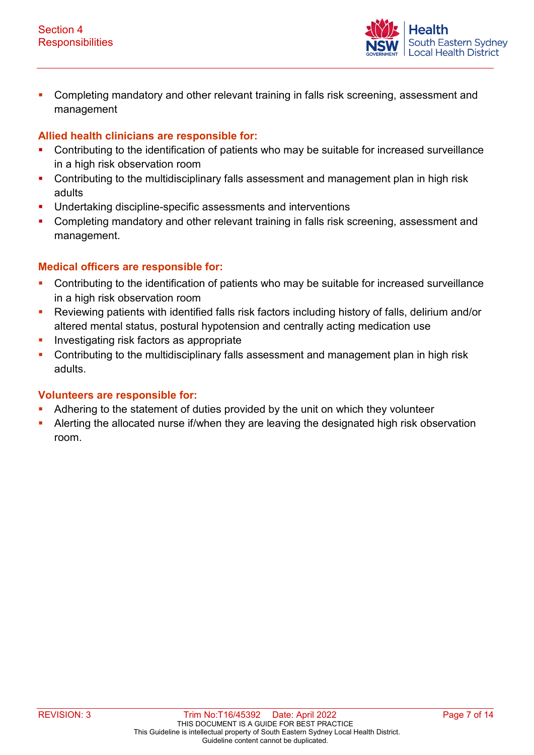

**Completing mandatory and other relevant training in falls risk screening, assessment and** management

### **Allied health clinicians are responsible for:**

- Contributing to the identification of patients who may be suitable for increased surveillance in a high risk observation room
- Contributing to the multidisciplinary falls assessment and management plan in high risk adults
- **Undertaking discipline-specific assessments and interventions**
- **Completing mandatory and other relevant training in falls risk screening, assessment and** management.

### **Medical officers are responsible for:**

- **Contributing to the identification of patients who may be suitable for increased surveillance** in a high risk observation room
- Reviewing patients with identified falls risk factors including history of falls, delirium and/or altered mental status, postural hypotension and centrally acting medication use
- **Investigating risk factors as appropriate**
- **Contributing to the multidisciplinary falls assessment and management plan in high risk** adults.

### **Volunteers are responsible for:**

- Adhering to the statement of duties provided by the unit on which they volunteer
- Alerting the allocated nurse if/when they are leaving the designated high risk observation room.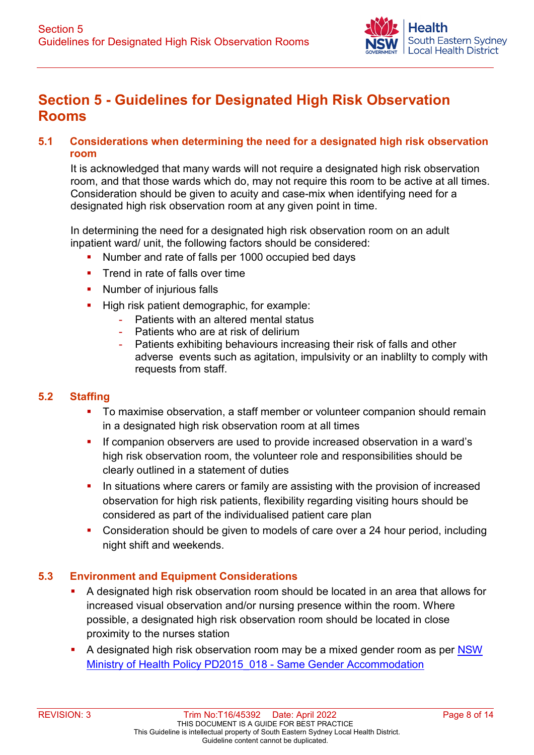

# **Section 5 - Guidelines for Designated High Risk Observation Rooms**

### **5.1 Considerations when determining the need for a designated high risk observation room**

It is acknowledged that many wards will not require a designated high risk observation room, and that those wards which do, may not require this room to be active at all times. Consideration should be given to acuity and case-mix when identifying need for a designated high risk observation room at any given point in time.

In determining the need for a designated high risk observation room on an adult inpatient ward/ unit, the following factors should be considered:

- Number and rate of falls per 1000 occupied bed days
- **Trend in rate of falls over time**
- **Number of injurious falls**
- High risk patient demographic, for example:
	- Patients with an altered mental status
	- Patients who are at risk of delirium
	- Patients exhibiting behaviours increasing their risk of falls and other adverse events such as agitation, impulsivity or an inablilty to comply with requests from staff.

### **5.2 Staffing**

- To maximise observation, a staff member or volunteer companion should remain in a designated high risk observation room at all times
- If companion observers are used to provide increased observation in a ward's high risk observation room, the volunteer role and responsibilities should be clearly outlined in a statement of duties
- In situations where carers or family are assisting with the provision of increased observation for high risk patients, flexibility regarding visiting hours should be considered as part of the individualised patient care plan
- **Consideration should be given to models of care over a 24 hour period, including** night shift and weekends.

### **5.3 Environment and Equipment Considerations**

- A designated high risk observation room should be located in an area that allows for increased visual observation and/or nursing presence within the room. Where possible, a designated high risk observation room should be located in close proximity to the nurses station
- A designated high risk observation room may be a mixed gender room as per [NSW](http://www1.health.nsw.gov.au/PDS/pages/doc.aspx?dn=PD2015_018)  Ministry of Health Policy PD2015 018 - Same Gender Accommodation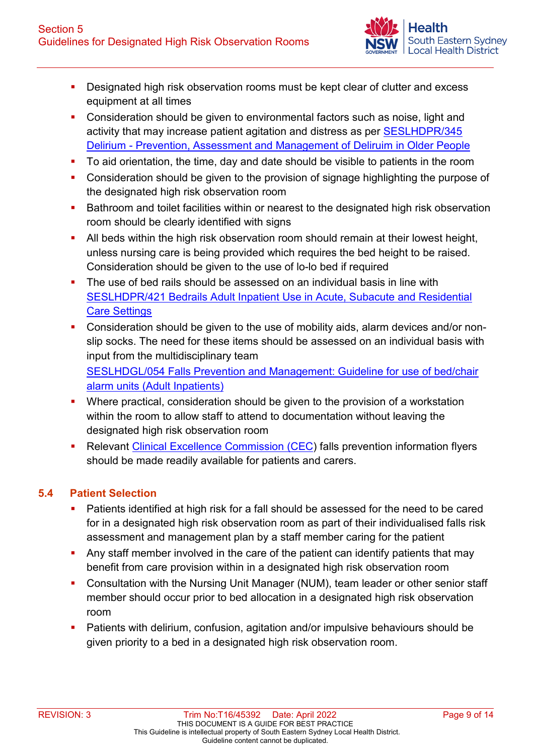

- **Designated high risk observation rooms must be kept clear of clutter and excess** equipment at all times
- **Consideration should be given to environmental factors such as noise, light and** activity that may increase patient agitation and distress as per [SESLHDPR/345](https://www.seslhd.health.nsw.gov.au/policies-and-publications/functional-group/77)  [Delirium - Prevention, Assessment and Management of Deliruim in Older People](https://www.seslhd.health.nsw.gov.au/policies-and-publications/functional-group/77)
- To aid orientation, the time, day and date should be visible to patients in the room
- **Consideration should be given to the provision of signage highlighting the purpose of** the designated high risk observation room
- **Bathroom and toilet facilities within or nearest to the designated high risk observation** room should be clearly identified with signs
- All beds within the high risk observation room should remain at their lowest height, unless nursing care is being provided which requires the bed height to be raised. Consideration should be given to the use of lo-lo bed if required
- The use of bed rails should be assessed on an individual basis in line with [SESLHDPR/421 Bedrails Adult Inpatient Use in Acute, Subacute and Residential](https://www.seslhd.health.nsw.gov.au/policies-and-publications/functional-group/77)  [Care Settings](https://www.seslhd.health.nsw.gov.au/policies-and-publications/functional-group/77)
- Consideration should be given to the use of mobility aids, alarm devices and/or nonslip socks. The need for these items should be assessed on an individual basis with input from the multidisciplinary team [SESLHDGL/054 Falls Prevention and Management: Guideline for use of bed/chair](https://www.seslhd.health.nsw.gov.au/policies-and-publications/functional-group/107)  [alarm units \(Adult Inpatients\)](https://www.seslhd.health.nsw.gov.au/policies-and-publications/functional-group/107)
- Where practical, consideration should be given to the provision of a workstation within the room to allow staff to attend to documentation without leaving the designated high risk observation room
- **Relevant [Clinical Excellence Commission \(CEC\)](https://www.cec.health.nsw.gov.au/keep-patients-safe/older-persons-patient-safety-program/falls-prevention/for-patients-carers-and-families) falls prevention information flyers** should be made readily available for patients and carers.

### **5.4 Patient Selection**

- Patients identified at high risk for a fall should be assessed for the need to be cared for in a designated high risk observation room as part of their individualised falls risk assessment and management plan by a staff member caring for the patient
- Any staff member involved in the care of the patient can identify patients that may benefit from care provision within in a designated high risk observation room
- Consultation with the Nursing Unit Manager (NUM), team leader or other senior staff member should occur prior to bed allocation in a designated high risk observation room
- Patients with delirium, confusion, agitation and/or impulsive behaviours should be given priority to a bed in a designated high risk observation room.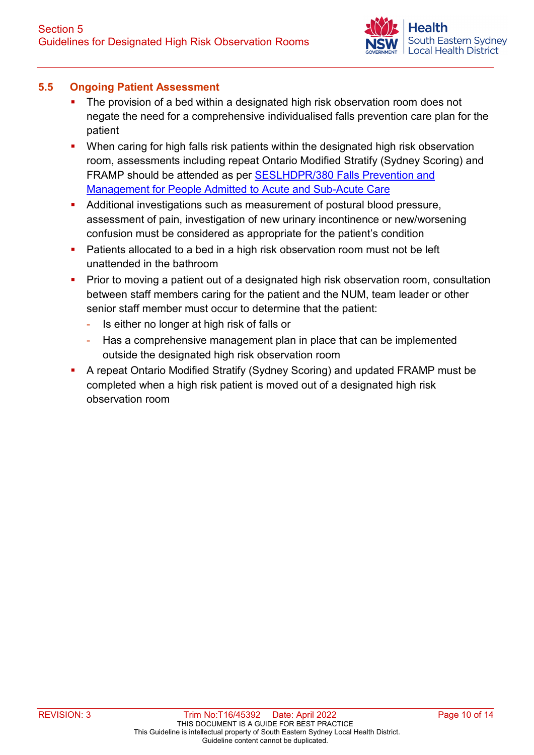### **5.5 Ongoing Patient Assessment**

- The provision of a bed within a designated high risk observation room does not negate the need for a comprehensive individualised falls prevention care plan for the patient
- **•** When caring for high falls risk patients within the designated high risk observation room, assessments including repeat Ontario Modified Stratify (Sydney Scoring) and FRAMP should be attended as per **SESLHDPR/380 Falls Prevention and** [Management for People Admitted to Acute and Sub-Acute Care](https://www.seslhd.health.nsw.gov.au/policies-and-publications/functional-group/107)
- Additional investigations such as measurement of postural blood pressure, assessment of pain, investigation of new urinary incontinence or new/worsening confusion must be considered as appropriate for the patient's condition
- Patients allocated to a bed in a high risk observation room must not be left unattended in the bathroom
- Prior to moving a patient out of a designated high risk observation room, consultation between staff members caring for the patient and the NUM, team leader or other senior staff member must occur to determine that the patient:
	- Is either no longer at high risk of falls or
	- Has a comprehensive management plan in place that can be implemented outside the designated high risk observation room
- A repeat Ontario Modified Stratify (Sydney Scoring) and updated FRAMP must be completed when a high risk patient is moved out of a designated high risk observation room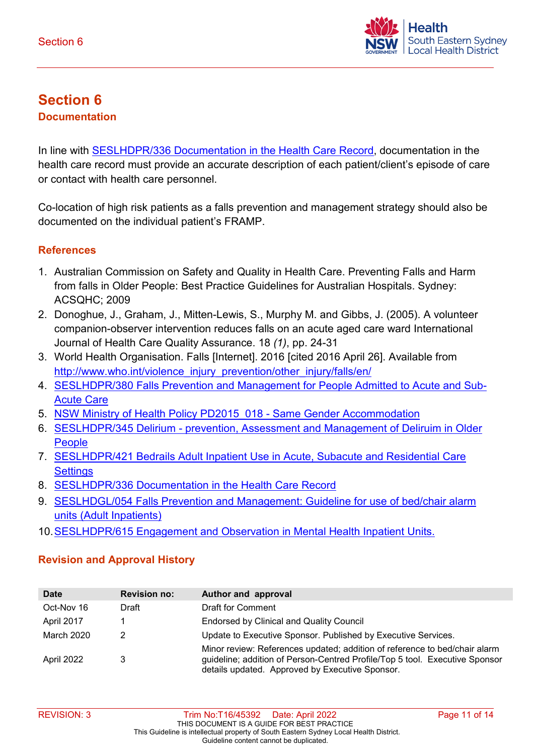

# **Section 6 Documentation**

In line with **SESLHDPR/336 Documentation in the Health Care Record, documentation in the** health care record must provide an accurate description of each patient/client's episode of care or contact with health care personnel.

Co-location of high risk patients as a falls prevention and management strategy should also be documented on the individual patient's FRAMP.

### **References**

- 1. Australian Commission on Safety and Quality in Health Care. Preventing Falls and Harm from falls in Older People: Best Practice Guidelines for Australian Hospitals. Sydney: ACSQHC; 2009
- 2. Donoghue, J., Graham, J., Mitten-Lewis, S., Murphy M. and Gibbs, J. (2005). A volunteer companion-observer intervention reduces falls on an acute aged care ward International Journal of Health Care Quality Assurance. 18 *(1)*, pp. 24-31
- 3. World Health Organisation. Falls [Internet]. 2016 [cited 2016 April 26]. Available from http://www.who.int/violence\_injury\_prevention/other\_injury/falls/en/
- 4. [SESLHDPR/380 Falls Prevention and Management for People Admitted to Acute and Sub-](https://www.seslhd.health.nsw.gov.au/policies-and-publications/functional-group/107)[Acute Care](https://www.seslhd.health.nsw.gov.au/policies-and-publications/functional-group/107)
- 5. NSW Ministry of Health Policy PD2015 018 Same Gender Accommodation
- 6. [SESLHDPR/345 Delirium prevention, Assessment and Management of Deliruim in Older](https://www.seslhd.health.nsw.gov.au/policies-and-publications/functional-group/77)  **[People](https://www.seslhd.health.nsw.gov.au/policies-and-publications/functional-group/77)**
- 7. [SESLHDPR/421 Bedrails Adult Inpatient Use in Acute, Subacute and Residential Care](https://www.seslhd.health.nsw.gov.au/policies-and-publications/functional-group/77)  **[Settings](https://www.seslhd.health.nsw.gov.au/policies-and-publications/functional-group/77)**
- 8. [SESLHDPR/336 Documentation in the Health Care Record](https://www.seslhd.health.nsw.gov.au/policies-and-publications/functional-group/71)
- 9. [SESLHDGL/054 Falls Prevention and Management: Guideline for use of bed/chair alarm](https://www.seslhd.health.nsw.gov.au/policies-and-publications/functional-group/107)  [units \(Adult Inpatients\)](https://www.seslhd.health.nsw.gov.au/policies-and-publications/functional-group/107)
- 10[.SESLHDPR/615 Engagement and Observation in Mental Health Inpatient Units.](https://www.seslhd.health.nsw.gov.au/policies-and-publications/functional-group/89)

### **Revision and Approval History**

| <b>Date</b> | <b>Revision no:</b> | Author and approval                                                                                                                                                                                          |
|-------------|---------------------|--------------------------------------------------------------------------------------------------------------------------------------------------------------------------------------------------------------|
| Oct-Nov 16  | Draft               | Draft for Comment                                                                                                                                                                                            |
| April 2017  |                     | <b>Endorsed by Clinical and Quality Council</b>                                                                                                                                                              |
| March 2020  |                     | Update to Executive Sponsor. Published by Executive Services.                                                                                                                                                |
| April 2022  | 3                   | Minor review: References updated; addition of reference to bed/chair alarm<br>guideline; addition of Person-Centred Profile/Top 5 tool. Executive Sponsor<br>details updated. Approved by Executive Sponsor. |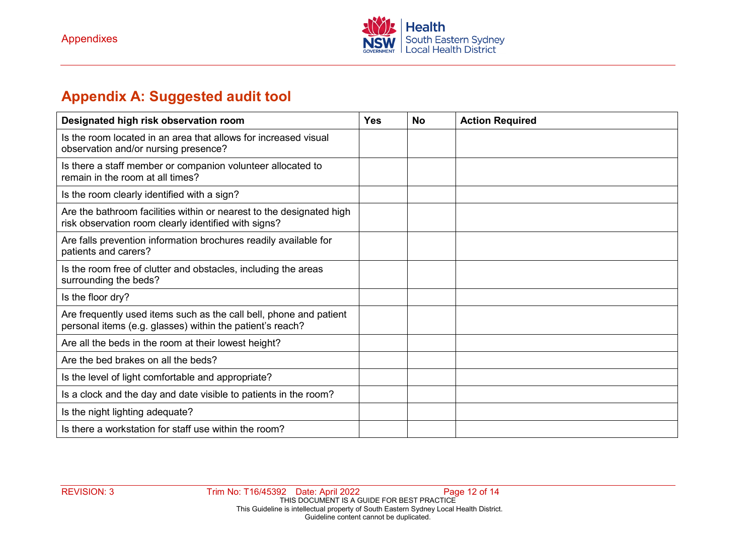

# **Appendix A: Suggested audit tool**

| Designated high risk observation room                                                                                           | <b>Yes</b> | <b>No</b> | <b>Action Required</b> |
|---------------------------------------------------------------------------------------------------------------------------------|------------|-----------|------------------------|
| Is the room located in an area that allows for increased visual<br>observation and/or nursing presence?                         |            |           |                        |
| Is there a staff member or companion volunteer allocated to<br>remain in the room at all times?                                 |            |           |                        |
| Is the room clearly identified with a sign?                                                                                     |            |           |                        |
| Are the bathroom facilities within or nearest to the designated high<br>risk observation room clearly identified with signs?    |            |           |                        |
| Are falls prevention information brochures readily available for<br>patients and carers?                                        |            |           |                        |
| Is the room free of clutter and obstacles, including the areas<br>surrounding the beds?                                         |            |           |                        |
| Is the floor dry?                                                                                                               |            |           |                        |
| Are frequently used items such as the call bell, phone and patient<br>personal items (e.g. glasses) within the patient's reach? |            |           |                        |
| Are all the beds in the room at their lowest height?                                                                            |            |           |                        |
| Are the bed brakes on all the beds?                                                                                             |            |           |                        |
| Is the level of light comfortable and appropriate?                                                                              |            |           |                        |
| Is a clock and the day and date visible to patients in the room?                                                                |            |           |                        |
| Is the night lighting adequate?                                                                                                 |            |           |                        |
| Is there a workstation for staff use within the room?                                                                           |            |           |                        |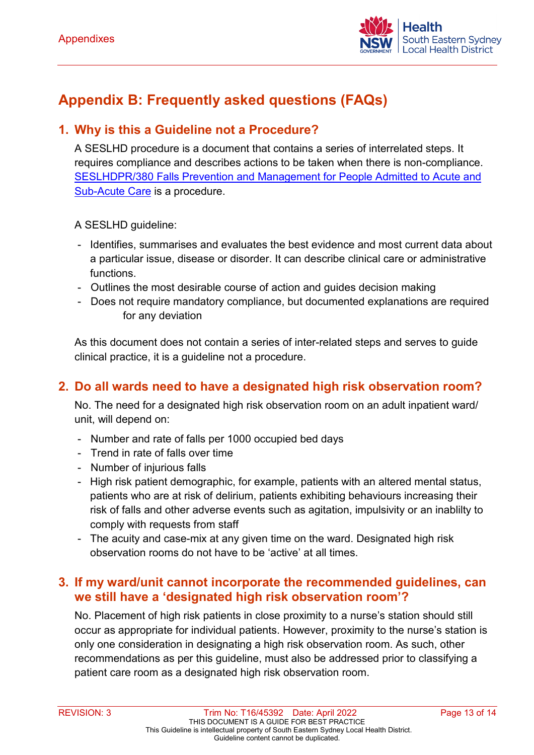

# **Appendix B: Frequently asked questions (FAQs)**

## **1. Why is this a Guideline not a Procedure?**

A SESLHD procedure is a document that contains a series of interrelated steps. It requires compliance and describes actions to be taken when there is non-compliance. [SESLHDPR/380 Falls Prevention and Management for People Admitted to Acute and](https://www.seslhd.health.nsw.gov.au/policies-and-publications/functional-group/107)  [Sub-Acute Care](https://www.seslhd.health.nsw.gov.au/policies-and-publications/functional-group/107) is a procedure.

A SESLHD guideline:

- Identifies, summarises and evaluates the best evidence and most current data about a particular issue, disease or disorder. It can describe clinical care or administrative functions.
- Outlines the most desirable course of action and guides decision making
- Does not require mandatory compliance, but documented explanations are required for any deviation

As this document does not contain a series of inter-related steps and serves to guide clinical practice, it is a guideline not a procedure.

## **2. Do all wards need to have a designated high risk observation room?**

No. The need for a designated high risk observation room on an adult inpatient ward/ unit, will depend on:

- Number and rate of falls per 1000 occupied bed days
- Trend in rate of falls over time
- Number of injurious falls
- High risk patient demographic, for example, patients with an altered mental status, patients who are at risk of delirium, patients exhibiting behaviours increasing their risk of falls and other adverse events such as agitation, impulsivity or an inablilty to comply with requests from staff
- The acuity and case-mix at any given time on the ward. Designated high risk observation rooms do not have to be 'active' at all times.

## **3. If my ward/unit cannot incorporate the recommended guidelines, can we still have a 'designated high risk observation room'?**

No. Placement of high risk patients in close proximity to a nurse's station should still occur as appropriate for individual patients. However, proximity to the nurse's station is only one consideration in designating a high risk observation room. As such, other recommendations as per this guideline, must also be addressed prior to classifying a patient care room as a designated high risk observation room.